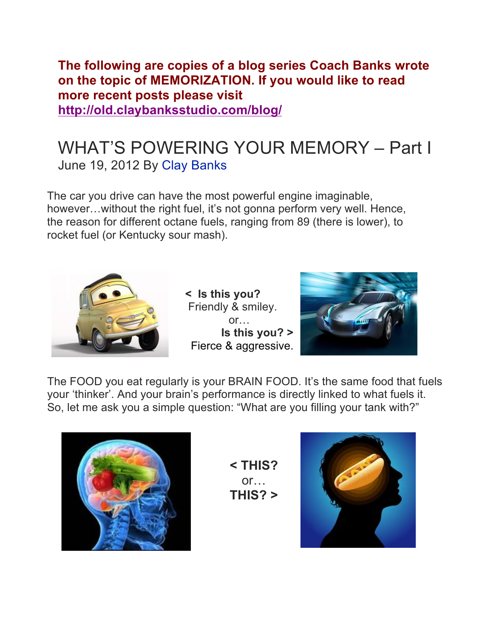**The following are copies of a blog series Coach Banks wrote on the topic of MEMORIZATION. If you would like to read more recent posts please visit http://old.claybanksstudio.com/blog/**

# WHAT'S POWERING YOUR MEMORY – Part I June 19, 2012 By Clay Banks

The car you drive can have the most powerful engine imaginable, however...without the right fuel, it's not gonna perform very well. Hence, the reason for different octane fuels, ranging from 89 (there is lower), to rocket fuel (or Kentucky sour mash).



**< Is this you?** Friendly & smiley. or… **Is this you? >** Fierce & aggressive.



The FOOD you eat regularly is your BRAIN FOOD. It's the same food that fuels your 'thinker'. And your brain's performance is directly linked to what fuels it. So, let me ask you a simple question: "What are you filling your tank with?"



**< THIS?** or… **THIS? >**

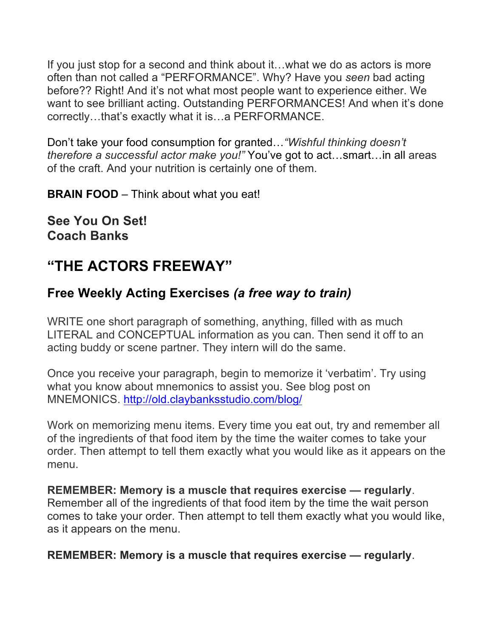If you just stop for a second and think about it…what we do as actors is more often than not called a "PERFORMANCE". Why? Have you *seen* bad acting before?? Right! And it's not what most people want to experience either. We want to see brilliant acting. Outstanding PERFORMANCES! And when it's done correctly…that's exactly what it is…a PERFORMANCE.

Don't take your food consumption for granted…*"Wishful thinking doesn't therefore a successful actor make you!"* You've got to act…smart…in all areas of the craft. And your nutrition is certainly one of them.

**BRAIN FOOD** – Think about what you eat!

**See You On Set! Coach Banks**

## **"THE ACTORS FREEWAY"**

## **Free Weekly Acting Exercises** *(a free way to train)*

WRITE one short paragraph of something, anything, filled with as much LITERAL and CONCEPTUAL information as you can. Then send it off to an acting buddy or scene partner. They intern will do the same.

Once you receive your paragraph, begin to memorize it 'verbatim'. Try using what you know about mnemonics to assist you. See blog post on MNEMONICS. http://old.claybanksstudio.com/blog/

Work on memorizing menu items. Every time you eat out, try and remember all of the ingredients of that food item by the time the waiter comes to take your order. Then attempt to tell them exactly what you would like as it appears on the menu.

**REMEMBER: Memory is a muscle that requires exercise — regularly**. Remember all of the ingredients of that food item by the time the wait person comes to take your order. Then attempt to tell them exactly what you would like, as it appears on the menu.

**REMEMBER: Memory is a muscle that requires exercise — regularly**.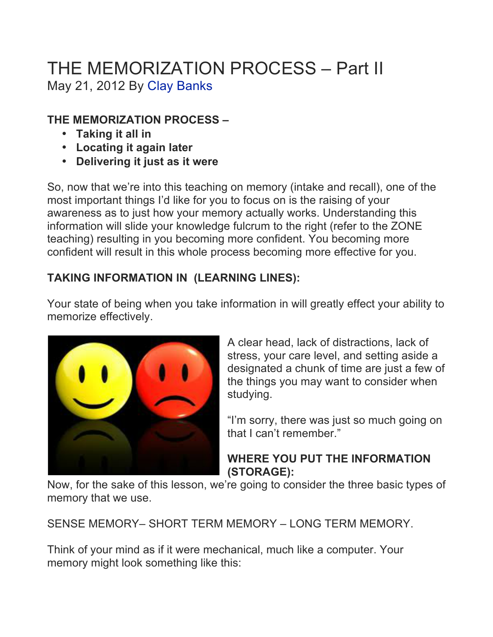# THE MEMORIZATION PROCESS – Part II May 21, 2012 By Clay Banks

## **THE MEMORIZATION PROCESS –**

- **Taking it all in**
- **Locating it again later**
- **Delivering it just as it were**

So, now that we're into this teaching on memory (intake and recall), one of the most important things I'd like for you to focus on is the raising of your awareness as to just how your memory actually works. Understanding this information will slide your knowledge fulcrum to the right (refer to the ZONE teaching) resulting in you becoming more confident. You becoming more confident will result in this whole process becoming more effective for you.

## **TAKING INFORMATION IN (LEARNING LINES):**

Your state of being when you take information in will greatly effect your ability to memorize effectively.



A clear head, lack of distractions, lack of stress, your care level, and setting aside a designated a chunk of time are just a few of the things you may want to consider when studying.

"I'm sorry, there was just so much going on that I can't remember."

## **WHERE YOU PUT THE INFORMATION (STORAGE):**

Now, for the sake of this lesson, we're going to consider the three basic types of memory that we use.

SENSE MEMORY– SHORT TERM MEMORY – LONG TERM MEMORY.

Think of your mind as if it were mechanical, much like a computer. Your memory might look something like this: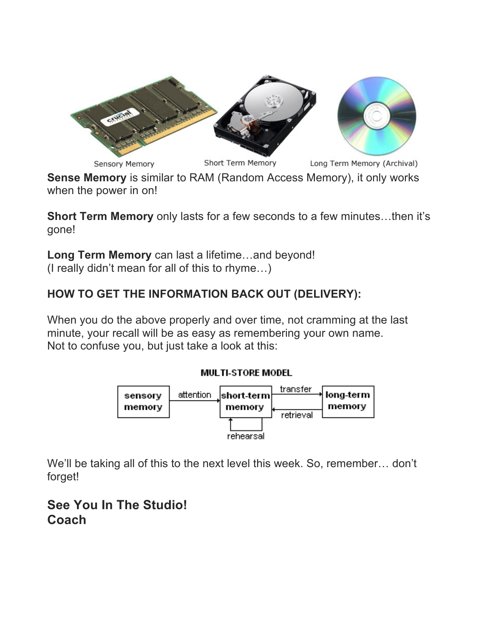

**Sense Memory** is similar to RAM (Random Access Memory), it only works when the power in on!

**Short Term Memory** only lasts for a few seconds to a few minutes…then it's gone!

**Long Term Memory** can last a lifetime…and beyond! (I really didn't mean for all of this to rhyme…)

## **HOW TO GET THE INFORMATION BACK OUT (DELIVERY):**

When you do the above properly and over time, not cramming at the last minute, your recall will be as easy as remembering your own name. Not to confuse you, but just take a look at this:

#### **MULTI-STORE MODEL**



We'll be taking all of this to the next level this week. So, remember... don't forget!

## **See You In The Studio! Coach**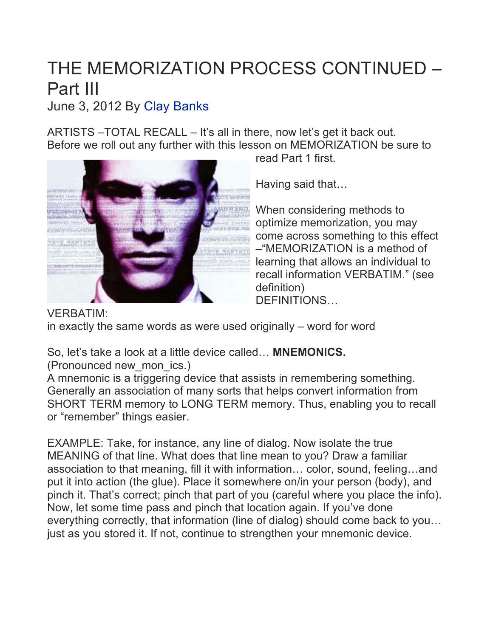# THE MEMORIZATION PROCESS CONTINUED – Part III

June 3, 2012 By Clay Banks

ARTISTS –TOTAL RECALL – It's all in there, now let's get it back out. Before we roll out any further with this lesson on MEMORIZATION be sure to



read Part 1 first.

Having said that…

When considering methods to optimize memorization, you may come across something to this effect –"MEMORIZATION is a method of learning that allows an individual to recall information VERBATIM." (see definition) DEFINITIONS…

VERBATIM: in exactly the same words as were used originally – word for word

So, let's take a look at a little device called… **MNEMONICS.** 

(Pronounced new\_mon\_ics.)

A mnemonic is a triggering device that assists in remembering something. Generally an association of many sorts that helps convert information from SHORT TERM memory to LONG TERM memory. Thus, enabling you to recall or "remember" things easier.

EXAMPLE: Take, for instance, any line of dialog. Now isolate the true MEANING of that line. What does that line mean to you? Draw a familiar association to that meaning, fill it with information… color, sound, feeling…and put it into action (the glue). Place it somewhere on/in your person (body), and pinch it. That's correct; pinch that part of you (careful where you place the info). Now, let some time pass and pinch that location again. If you've done everything correctly, that information (line of dialog) should come back to you… just as you stored it. If not, continue to strengthen your mnemonic device.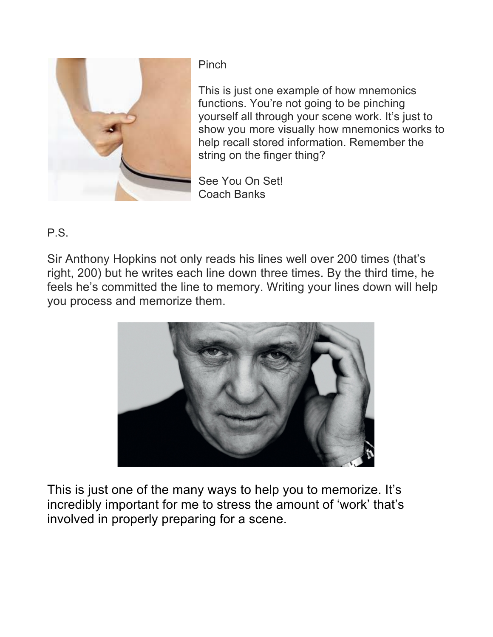

**Pinch** 

This is just one example of how mnemonics functions. You're not going to be pinching yourself all through your scene work. It's just to show you more visually how mnemonics works to help recall stored information. Remember the string on the finger thing?

See You On Set! Coach Banks

P.S.

Sir Anthony Hopkins not only reads his lines well over 200 times (that's right, 200) but he writes each line down three times. By the third time, he feels he's committed the line to memory. Writing your lines down will help you process and memorize them.



This is just one of the many ways to help you to memorize. It's incredibly important for me to stress the amount of 'work' that's involved in properly preparing for a scene.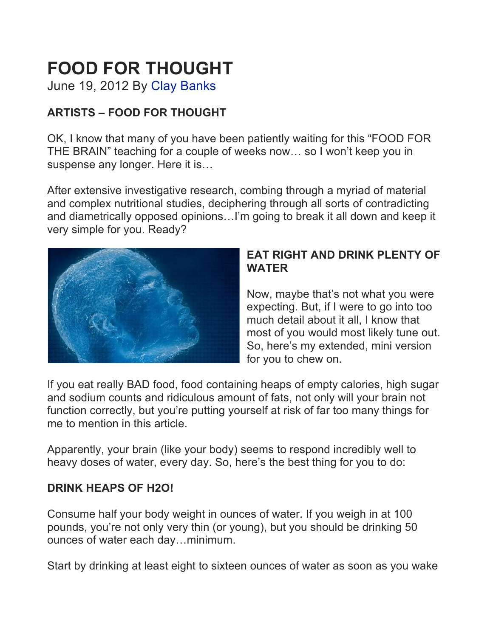# **FOOD FOR THOUGHT**

June 19, 2012 By Clay Banks

## **ARTISTS – FOOD FOR THOUGHT**

OK, I know that many of you have been patiently waiting for this "FOOD FOR THE BRAIN" teaching for a couple of weeks now… so I won't keep you in suspense any longer. Here it is…

After extensive investigative research, combing through a myriad of material and complex nutritional studies, deciphering through all sorts of contradicting and diametrically opposed opinions…I'm going to break it all down and keep it very simple for you. Ready?



### **EAT RIGHT AND DRINK PLENTY OF WATER**

Now, maybe that's not what you were expecting. But, if I were to go into too much detail about it all, I know that most of you would most likely tune out. So, here's my extended, mini version for you to chew on.

If you eat really BAD food, food containing heaps of empty calories, high sugar and sodium counts and ridiculous amount of fats, not only will your brain not function correctly, but you're putting yourself at risk of far too many things for me to mention in this article.

Apparently, your brain (like your body) seems to respond incredibly well to heavy doses of water, every day. So, here's the best thing for you to do:

## **DRINK HEAPS OF H2O!**

Consume half your body weight in ounces of water. If you weigh in at 100 pounds, you're not only very thin (or young), but you should be drinking 50 ounces of water each day…minimum.

Start by drinking at least eight to sixteen ounces of water as soon as you wake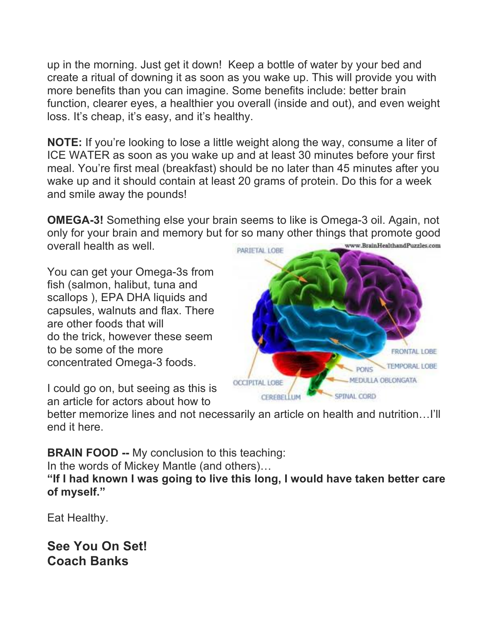up in the morning. Just get it down! Keep a bottle of water by your bed and create a ritual of downing it as soon as you wake up. This will provide you with more benefits than you can imagine. Some benefits include: better brain function, clearer eyes, a healthier you overall (inside and out), and even weight loss. It's cheap, it's easy, and it's healthy.

**NOTE:** If you're looking to lose a little weight along the way, consume a liter of ICE WATER as soon as you wake up and at least 30 minutes before your first meal. You're first meal (breakfast) should be no later than 45 minutes after you wake up and it should contain at least 20 grams of protein. Do this for a week and smile away the pounds!

**OMEGA-3!** Something else your brain seems to like is Omega-3 oil. Again, not only for your brain and memory but for so many other things that promote good overall health as well. www.BrainHealthandPuzzles.com

You can get your Omega-3s from fish (salmon, halibut, tuna and scallops ), EPA DHA liquids and capsules, walnuts and flax. There are other foods that will do the trick, however these seem to be some of the more concentrated Omega-3 foods.



I could go on, but seeing as this is an article for actors about how to

better memorize lines and not necessarily an article on health and nutrition…I'll end it here.

**BRAIN FOOD --** My conclusion to this teaching:

In the words of Mickey Mantle (and others)…

**"If I had known I was going to live this long, I would have taken better care of myself."** 

Eat Healthy.

**See You On Set! Coach Banks**